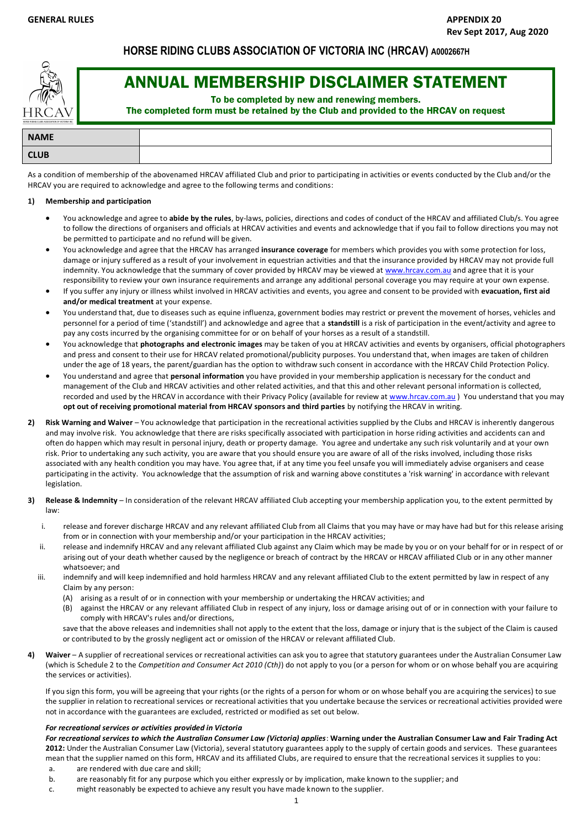# **HORSE RIDING CLUBS ASSOCIATION OF VICTORIA INC (HRCAV) A0002667H**



# ANNUAL MEMBERSHIP DISCLAIMER STATEMENT

To be completed by new and renewing members.

The completed form must be retained by the Club and provided to the HRCAV on request

| <b>NAME</b> |  |
|-------------|--|
| <b>CLUB</b> |  |

As a condition of membership of the abovenamed HRCAV affiliated Club and prior to participating in activities or events conducted by the Club and/or the HRCAV you are required to acknowledge and agree to the following terms and conditions:

#### **1) Membership and participation**

- You acknowledge and agree to **abide by the rules**, by-laws, policies, directions and codes of conduct of the HRCAV and affiliated Club/s. You agree to follow the directions of organisers and officials at HRCAV activities and events and acknowledge that if you fail to follow directions you may not be permitted to participate and no refund will be given.
- You acknowledge and agree that the HRCAV has arranged **insurance coverage** for members which provides you with some protection for loss, damage or injury suffered as a result of your involvement in equestrian activities and that the insurance provided by HRCAV may not provide full indemnity. You acknowledge that the summary of cover provided by HRCAV may be viewed at www.hrcav.com.au and agree that it is your responsibility to review your own insurance requirements and arrange any additional personal coverage you may require at your own expense.
- If you suffer any injury or illness whilst involved in HRCAV activities and events, you agree and consent to be provided with **evacuation, first aid and/or medical treatment** at your expense.
- You understand that, due to diseases such as equine influenza, government bodies may restrict or prevent the movement of horses, vehicles and personnel for a period of time ('standstill') and acknowledge and agree that a **standstill** is a risk of participation in the event/activity and agree to pay any costs incurred by the organising committee for or on behalf of your horses as a result of a standstill.
- You acknowledge that **photographs and electronic images** may be taken of you at HRCAV activities and events by organisers, official photographers and press and consent to their use for HRCAV related promotional/publicity purposes. You understand that, when images are taken of children under the age of 18 years, the parent/guardian has the option to withdraw such consent in accordance with the HRCAV Child Protection Policy.
- You understand and agree that **personal information** you have provided in your membership application is necessary for the conduct and management of the Club and HRCAV activities and other related activities, and that this and other relevant personal information is collected, recorded and used by the HRCAV in accordance with their Privacy Policy (available for review at www.hrcav.com.au ) You understand that you may **opt out of receiving promotional material from HRCAV sponsors and third parties** by notifying the HRCAV in writing.
- **2) Risk Warning and Waiver** You acknowledge that participation in the recreational activities supplied by the Clubs and HRCAV is inherently dangerous and may involve risk. You acknowledge that there are risks specifically associated with participation in horse riding activities and accidents can and often do happen which may result in personal injury, death or property damage. You agree and undertake any such risk voluntarily and at your own risk. Prior to undertaking any such activity, you are aware that you should ensure you are aware of all of the risks involved, including those risks associated with any health condition you may have. You agree that, if at any time you feel unsafe you will immediately advise organisers and cease participating in the activity. You acknowledge that the assumption of risk and warning above constitutes a 'risk warning' in accordance with relevant legislation.
- **3) Release & Indemnity** In consideration of the relevant HRCAV affiliated Club accepting your membership application you, to the extent permitted by law:
	- i. release and forever discharge HRCAV and any relevant affiliated Club from all Claims that you may have or may have had but for this release arising from or in connection with your membership and/or your participation in the HRCAV activities;
	- ii. release and indemnify HRCAV and any relevant affiliated Club against any Claim which may be made by you or on your behalf for or in respect of or arising out of your death whether caused by the negligence or breach of contract by the HRCAV or HRCAV affiliated Club or in any other manner whatsoever; and
	- iii. indemnify and will keep indemnified and hold harmless HRCAV and any relevant affiliated Club to the extent permitted by law in respect of any Claim by any person:
		- (A) arising as a result of or in connection with your membership or undertaking the HRCAV activities; and
		- (B) against the HRCAV or any relevant affiliated Club in respect of any injury, loss or damage arising out of or in connection with your failure to comply with HRCAV's rules and/or directions,

save that the above releases and indemnities shall not apply to the extent that the loss, damage or injury that is the subject of the Claim is caused or contributed to by the grossly negligent act or omission of the HRCAV or relevant affiliated Club.

**4) Waiver** – A supplier of recreational services or recreational activities can ask you to agree that statutory guarantees under the Australian Consumer Law (which is Schedule 2 to the *Competition and Consumer Act 2010 (Cth)*) do not apply to you (or a person for whom or on whose behalf you are acquiring the services or activities).

If you sign this form, you will be agreeing that your rights (or the rights of a person for whom or on whose behalf you are acquiring the services) to sue the supplier in relation to recreational services or recreational activities that you undertake because the services or recreational activities provided were not in accordance with the guarantees are excluded, restricted or modified as set out below.

### *For recreational services or activities provided in Victoria*

*For recreational services to which the Australian Consumer Law (Victoria) applies*: **Warning under the Australian Consumer Law and Fair Trading Act 2012:** Under the Australian Consumer Law (Victoria), several statutory guarantees apply to the supply of certain goods and services. These guarantees mean that the supplier named on this form, HRCAV and its affiliated Clubs, are required to ensure that the recreational services it supplies to you: a. are rendered with due care and skill;

- 
- b. are reasonably fit for any purpose which you either expressly or by implication, make known to the supplier; and c. might reasonably be expected to achieve any result you have made known to the supplier.